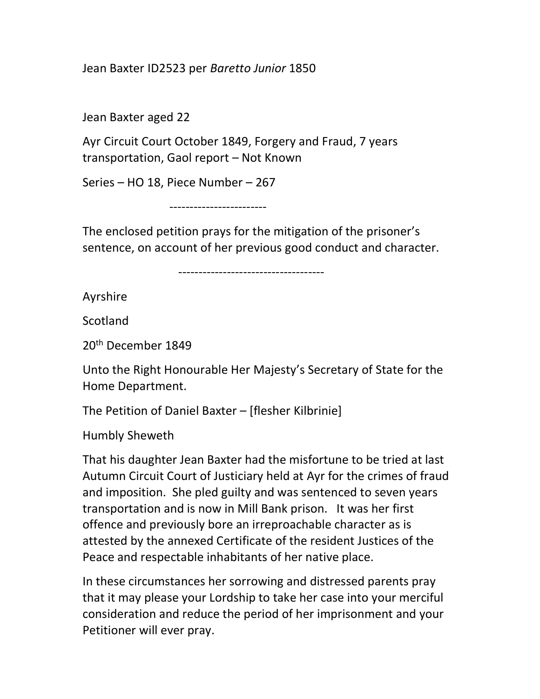Jean Baxter ID2523 per Baretto Junior 1850

Jean Baxter aged 22

Ayr Circuit Court October 1849, Forgery and Fraud, 7 years transportation, Gaol report – Not Known

Series – HO 18, Piece Number – 267

------------------------

The enclosed petition prays for the mitigation of the prisoner's sentence, on account of her previous good conduct and character.

------------------------------------

Ayrshire

**Scotland** 

20th December 1849

Unto the Right Honourable Her Majesty's Secretary of State for the Home Department.

The Petition of Daniel Baxter – [flesher Kilbrinie]

Humbly Sheweth

That his daughter Jean Baxter had the misfortune to be tried at last Autumn Circuit Court of Justiciary held at Ayr for the crimes of fraud and imposition. She pled guilty and was sentenced to seven years transportation and is now in Mill Bank prison. It was her first offence and previously bore an irreproachable character as is attested by the annexed Certificate of the resident Justices of the Peace and respectable inhabitants of her native place.

In these circumstances her sorrowing and distressed parents pray that it may please your Lordship to take her case into your merciful consideration and reduce the period of her imprisonment and your Petitioner will ever pray.